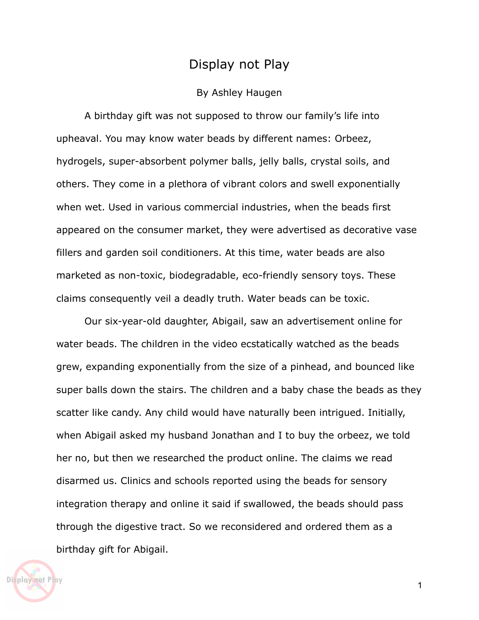## Display not Play

## By Ashley Haugen

A birthday gift was not supposed to throw our family's life into upheaval. You may know water beads by different names: Orbeez, hydrogels, super-absorbent polymer balls, jelly balls, crystal soils, and others. They come in a plethora of vibrant colors and swell exponentially when wet. Used in various commercial industries, when the beads first appeared on the consumer market, they were advertised as decorative vase fillers and garden soil conditioners. At this time, water beads are also marketed as non-toxic, biodegradable, eco-friendly sensory toys. These claims consequently veil a deadly truth. Water beads can be toxic.

Our six-year-old daughter, Abigail, saw an advertisement online for water beads. The children in the video ecstatically watched as the beads grew, expanding exponentially from the size of a pinhead, and bounced like super balls down the stairs. The children and a baby chase the beads as they scatter like candy. Any child would have naturally been intrigued. Initially, when Abigail asked my husband Jonathan and I to buy the orbeez, we told her no, but then we researched the product online. The claims we read disarmed us. Clinics and schools reported using the beads for sensory integration therapy and online it said if swallowed, the beads should pass through the digestive tract. So we reconsidered and ordered them as a birthday gift for Abigail.



1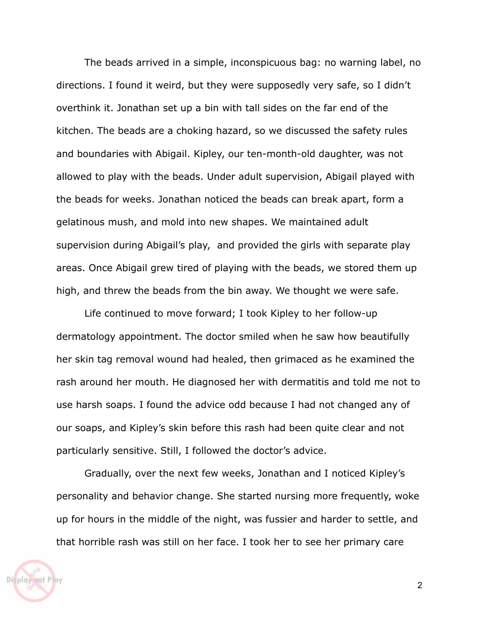The beads arrived in a simple, inconspicuous bag: no warning label, no directions. I found it weird, but they were supposedly very safe, so I didn't overthink it. Jonathan set up a bin with tall sides on the far end of the kitchen. The beads are a choking hazard, so we discussed the safety rules and boundaries with Abigail. Kipley, our ten-month-old daughter, was not allowed to play with the beads. Under adult supervision, Abigail played with the beads for weeks. Jonathan noticed the beads can break apart, form a gelatinous mush, and mold into new shapes. We maintained adult supervision during Abigail's play, and provided the girls with separate play areas. Once Abigail grew tired of playing with the beads, we stored them up high, and threw the beads from the bin away. We thought we were safe.

Life continued to move forward; I took Kipley to her follow-up dermatology appointment. The doctor smiled when he saw how beautifully her skin tag removal wound had healed, then grimaced as he examined the rash around her mouth. He diagnosed her with dermatitis and told me not to use harsh soaps. I found the advice odd because I had not changed any of our soaps, and Kipley's skin before this rash had been quite clear and not particularly sensitive. Still, I followed the doctor's advice.

Gradually, over the next few weeks, Jonathan and I noticed Kipley's personality and behavior change. She started nursing more frequently, woke up for hours in the middle of the night, was fussier and harder to settle, and that horrible rash was still on her face. I took her to see her primary care

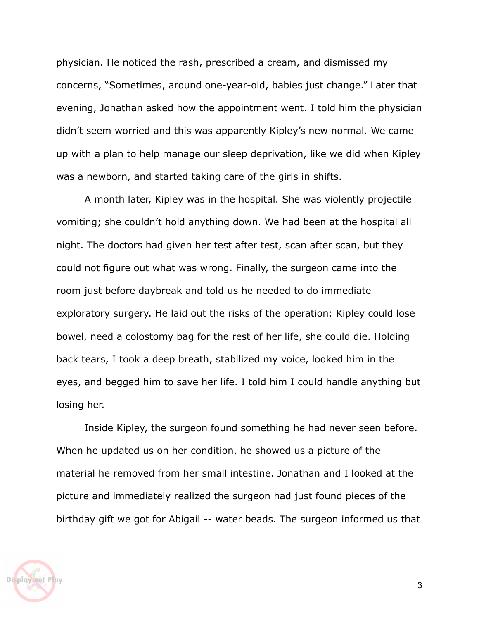physician. He noticed the rash, prescribed a cream, and dismissed my concerns, "Sometimes, around one-year-old, babies just change." Later that evening, Jonathan asked how the appointment went. I told him the physician didn't seem worried and this was apparently Kipley's new normal. We came up with a plan to help manage our sleep deprivation, like we did when Kipley was a newborn, and started taking care of the girls in shifts.

A month later, Kipley was in the hospital. She was violently projectile vomiting; she couldn't hold anything down. We had been at the hospital all night. The doctors had given her test after test, scan after scan, but they could not figure out what was wrong. Finally, the surgeon came into the room just before daybreak and told us he needed to do immediate exploratory surgery. He laid out the risks of the operation: Kipley could lose bowel, need a colostomy bag for the rest of her life, she could die. Holding back tears, I took a deep breath, stabilized my voice, looked him in the eyes, and begged him to save her life. I told him I could handle anything but losing her.

Inside Kipley, the surgeon found something he had never seen before. When he updated us on her condition, he showed us a picture of the material he removed from her small intestine. Jonathan and I looked at the picture and immediately realized the surgeon had just found pieces of the birthday gift we got for Abigail -- water beads. The surgeon informed us that

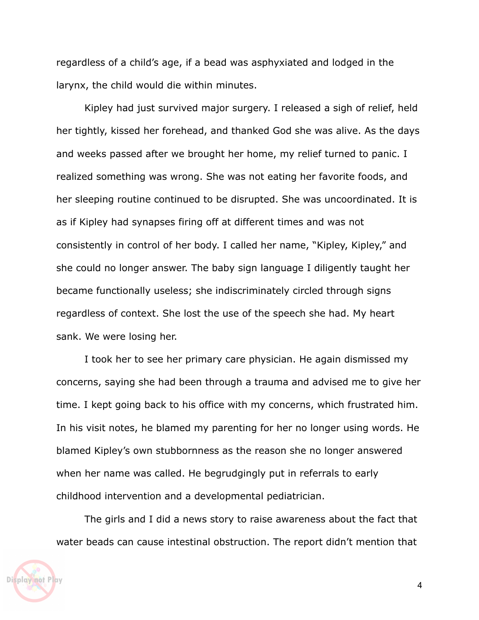regardless of a child's age, if a bead was asphyxiated and lodged in the larynx, the child would die within minutes.

Kipley had just survived major surgery. I released a sigh of relief, held her tightly, kissed her forehead, and thanked God she was alive. As the days and weeks passed after we brought her home, my relief turned to panic. I realized something was wrong. She was not eating her favorite foods, and her sleeping routine continued to be disrupted. She was uncoordinated. It is as if Kipley had synapses firing off at different times and was not consistently in control of her body. I called her name, "Kipley, Kipley," and she could no longer answer. The baby sign language I diligently taught her became functionally useless; she indiscriminately circled through signs regardless of context. She lost the use of the speech she had. My heart sank. We were losing her.

I took her to see her primary care physician. He again dismissed my concerns, saying she had been through a trauma and advised me to give her time. I kept going back to his office with my concerns, which frustrated him. In his visit notes, he blamed my parenting for her no longer using words. He blamed Kipley's own stubbornness as the reason she no longer answered when her name was called. He begrudgingly put in referrals to early childhood intervention and a developmental pediatrician.

The girls and I did a news story to raise awareness about the fact that water beads can cause intestinal obstruction. The report didn't mention that

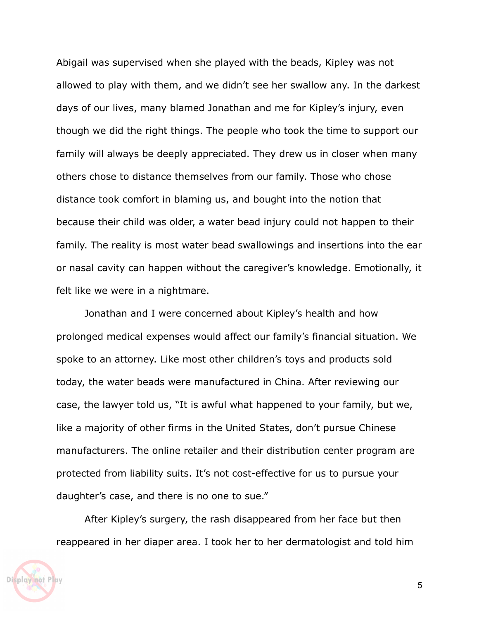Abigail was supervised when she played with the beads, Kipley was not allowed to play with them, and we didn't see her swallow any. In the darkest days of our lives, many blamed Jonathan and me for Kipley's injury, even though we did the right things. The people who took the time to support our family will always be deeply appreciated. They drew us in closer when many others chose to distance themselves from our family. Those who chose distance took comfort in blaming us, and bought into the notion that because their child was older, a water bead injury could not happen to their family. The reality is most water bead swallowings and insertions into the ear or nasal cavity can happen without the caregiver's knowledge. Emotionally, it felt like we were in a nightmare.

Jonathan and I were concerned about Kipley's health and how prolonged medical expenses would affect our family's financial situation. We spoke to an attorney. Like most other children's toys and products sold today, the water beads were manufactured in China. After reviewing our case, the lawyer told us, "It is awful what happened to your family, but we, like a majority of other firms in the United States, don't pursue Chinese manufacturers. The online retailer and their distribution center program are protected from liability suits. It's not cost-effective for us to pursue your daughter's case, and there is no one to sue."

After Kipley's surgery, the rash disappeared from her face but then reappeared in her diaper area. I took her to her dermatologist and told him

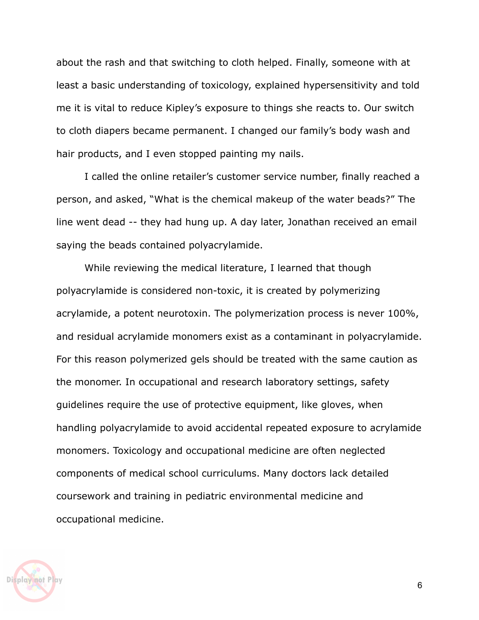about the rash and that switching to cloth helped. Finally, someone with at least a basic understanding of toxicology, explained hypersensitivity and told me it is vital to reduce Kipley's exposure to things she reacts to. Our switch to cloth diapers became permanent. I changed our family's body wash and hair products, and I even stopped painting my nails.

I called the online retailer's customer service number, finally reached a person, and asked, "What is the chemical makeup of the water beads?" The line went dead -- they had hung up. A day later, Jonathan received an email saying the beads contained polyacrylamide.

While reviewing the medical literature, I learned that though polyacrylamide is considered non-toxic, it is created by polymerizing acrylamide, a potent neurotoxin. The polymerization process is never 100%, and residual acrylamide monomers exist as a contaminant in polyacrylamide. For this reason polymerized gels should be treated with the same caution as the monomer. In occupational and research laboratory settings, safety guidelines require the use of protective equipment, like gloves, when handling polyacrylamide to avoid accidental repeated exposure to acrylamide monomers. Toxicology and occupational medicine are often neglected components of medical school curriculums. Many doctors lack detailed coursework and training in pediatric environmental medicine and occupational medicine.

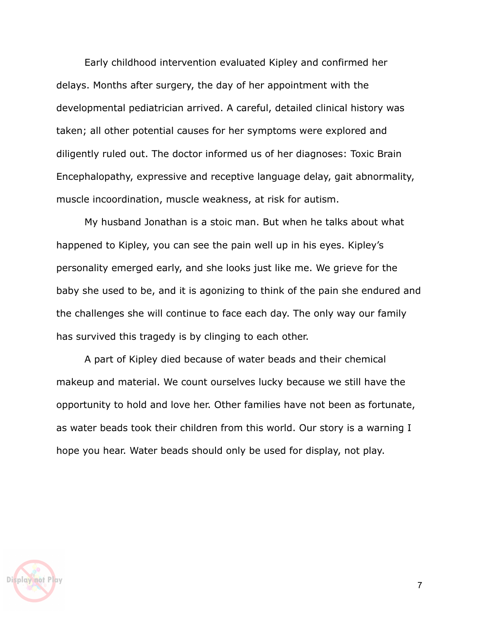Early childhood intervention evaluated Kipley and confirmed her delays. Months after surgery, the day of her appointment with the developmental pediatrician arrived. A careful, detailed clinical history was taken; all other potential causes for her symptoms were explored and diligently ruled out. The doctor informed us of her diagnoses: Toxic Brain Encephalopathy, expressive and receptive language delay, gait abnormality, muscle incoordination, muscle weakness, at risk for autism.

My husband Jonathan is a stoic man. But when he talks about what happened to Kipley, you can see the pain well up in his eyes. Kipley's personality emerged early, and she looks just like me. We grieve for the baby she used to be, and it is agonizing to think of the pain she endured and the challenges she will continue to face each day. The only way our family has survived this tragedy is by clinging to each other.

A part of Kipley died because of water beads and their chemical makeup and material. We count ourselves lucky because we still have the opportunity to hold and love her. Other families have not been as fortunate, as water beads took their children from this world. Our story is a warning I hope you hear. Water beads should only be used for display, not play.